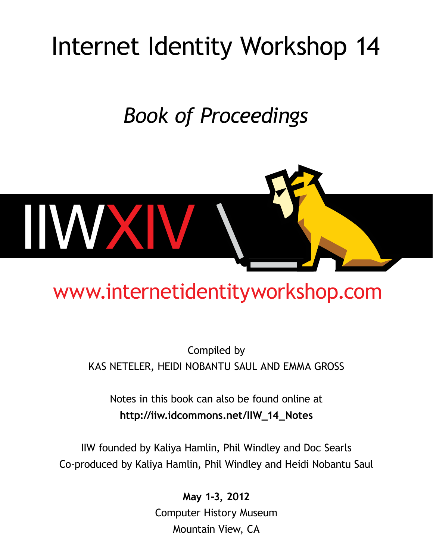# Internet Identity Workshop 14

# *Book of Proceedings*



# [www.internetidentityworkshop.com](http://www.internetidentityworkshop.com/)

# Compiled by Kas Neteler, Heidi Nobantu Saul and Emma Gross

Notes in this book can also be found online at **http://iiw.idcommons.net/IIW\_14\_Notes**

IIW founded by Kaliya Hamlin, Phil Windley and Doc Searls Co-produced by Kaliya Hamlin, Phil Windley and Heidi Nobantu Saul

> **May 1-3, 2012** Computer History Museum Mountain View, CA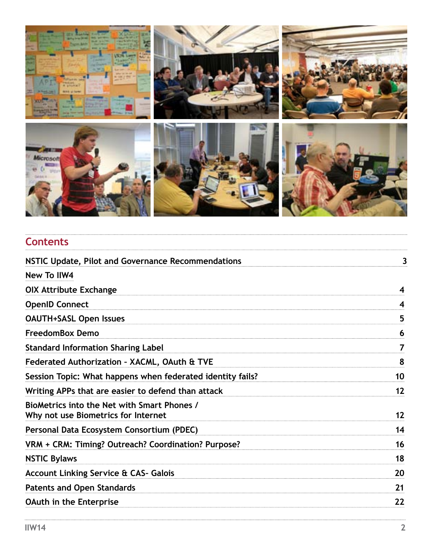

| <b>Contents</b>                                                                    |    |
|------------------------------------------------------------------------------------|----|
| NSTIC Update, Pilot and Governance Recommendations                                 | 3  |
| <b>New To IIW4</b>                                                                 |    |
| <b>OIX Attribute Exchange</b>                                                      | 4  |
| <b>OpenID Connect</b>                                                              | 4  |
| <b>OAUTH+SASL Open Issues</b>                                                      | 5  |
| <b>FreedomBox Demo</b>                                                             | 6  |
| <b>Standard Information Sharing Label</b>                                          | 7  |
| Federated Authorization - XACML, OAuth & TVE                                       | 8  |
| Session Topic: What happens when federated identity fails?                         | 10 |
| Writing APPs that are easier to defend than attack                                 | 12 |
| BioMetrics into the Net with Smart Phones /<br>Why not use Biometrics for Internet | 12 |
| Personal Data Ecosystem Consortium (PDEC)                                          | 14 |
| VRM + CRM: Timing? Outreach? Coordination? Purpose?                                | 16 |
| <b>NSTIC Bylaws</b>                                                                | 18 |
| <b>Account Linking Service &amp; CAS- Galois</b>                                   | 20 |
| <b>Patents and Open Standards</b>                                                  | 21 |
| <b>OAuth in the Enterprise</b>                                                     | 22 |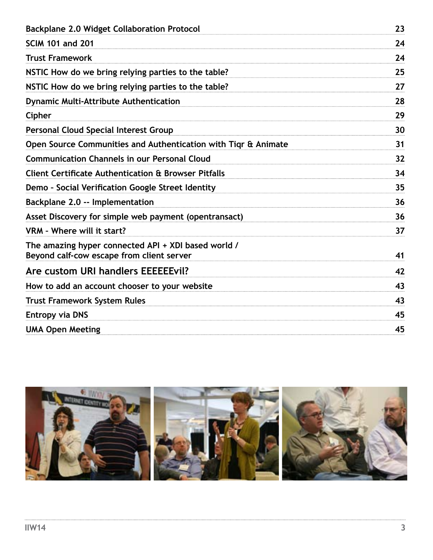| <b>Backplane 2.0 Widget Collaboration Protocol</b>                                               |    |
|--------------------------------------------------------------------------------------------------|----|
| <b>SCIM 101 and 201</b>                                                                          | 24 |
| <b>Trust Framework</b>                                                                           | 24 |
| NSTIC How do we bring relying parties to the table?                                              | 25 |
| NSTIC How do we bring relying parties to the table?                                              | 27 |
| <b>Dynamic Multi-Attribute Authentication</b>                                                    | 28 |
| Cipher                                                                                           | 29 |
| <b>Personal Cloud Special Interest Group</b>                                                     | 30 |
| Open Source Communities and Authentication with Tigr & Animate                                   | 31 |
| <b>Communication Channels in our Personal Cloud</b>                                              | 32 |
| <b>Client Certificate Authentication &amp; Browser Pitfalls</b>                                  | 34 |
| Demo - Social Verification Google Street Identity                                                | 35 |
| Backplane 2.0 -- Implementation                                                                  | 36 |
| Asset Discovery for simple web payment (opentransact)                                            | 36 |
| VRM - Where will it start?                                                                       | 37 |
| The amazing hyper connected API + XDI based world /<br>Beyond calf-cow escape from client server | 41 |
| Are custom URI handlers EEEEEEvil?                                                               | 42 |
| How to add an account chooser to your website                                                    | 43 |
| <b>Trust Framework System Rules</b>                                                              | 43 |
| <b>Entropy via DNS</b>                                                                           | 45 |
| <b>UMA Open Meeting</b>                                                                          | 45 |
|                                                                                                  |    |

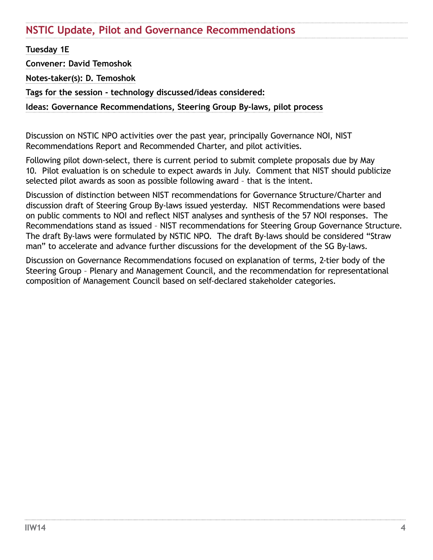# <span id="page-3-0"></span>**NSTIC Update, Pilot and Governance Recommendations**

**Tuesday 1E**

**Convener: David Temoshok**

**Notes-taker(s): D. Temoshok**

**Tags for the session - technology discussed/ideas considered:** 

**Ideas: Governance Recommendations, Steering Group By-laws, pilot process**

Discussion on NSTIC NPO activities over the past year, principally Governance NOI, NIST Recommendations Report and Recommended Charter, and pilot activities.

Following pilot down-select, there is current period to submit complete proposals due by May 10. Pilot evaluation is on schedule to expect awards in July. Comment that NIST should publicize selected pilot awards as soon as possible following award – that is the intent.

Discussion of distinction between NIST recommendations for Governance Structure/Charter and discussion draft of Steering Group By-laws issued yesterday. NIST Recommendations were based on public comments to NOI and reflect NIST analyses and synthesis of the 57 NOI responses. The Recommendations stand as issued – NIST recommendations for Steering Group Governance Structure. The draft By-laws were formulated by NSTIC NPO. The draft By-laws should be considered "Straw man" to accelerate and advance further discussions for the development of the SG By-laws.

Discussion on Governance Recommendations focused on explanation of terms, 2-tier body of the Steering Group – Plenary and Management Council, and the recommendation for representational composition of Management Council based on self-declared stakeholder categories.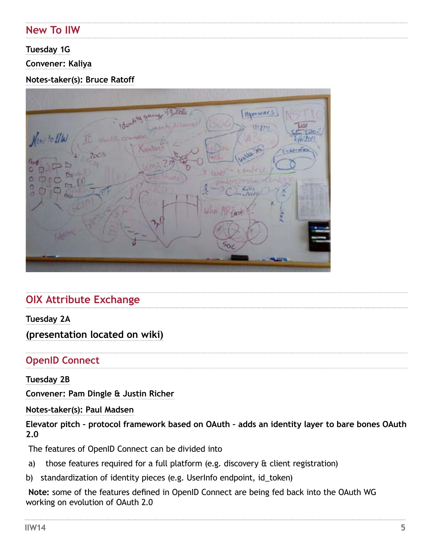# <span id="page-4-0"></span>**New To IIW**

## **Tuesday 1G**

## **Convener: Kaliya**

## **Notes-taker(s): Bruce Ratoff**

|              | dentity games 19 as |               | <b>Mynwars</b> |                   |
|--------------|---------------------|---------------|----------------|-------------------|
|              | <b>TEALERS</b>      |               |                |                   |
| Very to Ille | Santario            |               |                | <b>California</b> |
| 2005         |                     |               | 410.7          |                   |
| n,           |                     |               | w              |                   |
| ⊶<br>S       |                     | å             |                |                   |
|              |                     | What<br>lifew | z              |                   |
|              | $\gamma_{\rm p}$    |               |                |                   |
|              |                     |               |                |                   |
|              |                     | 50c           |                |                   |
|              |                     |               |                |                   |

# **OIX Attribute Exchange**

## **Tuesday 2A**

# **(presentation located on wiki)**

# **OpenID Connect**

## **Tuesday 2B**

**Convener: Pam Dingle & Justin Richer**

## **Notes-taker(s): Paul Madsen**

**Elevator pitch – protocol framework based on OAuth – adds an identity layer to bare bones OAuth 2.0** 

The features of OpenID Connect can be divided into

- a) those features required for a full platform (e.g. discovery & client registration)
- b) standardization of identity pieces (e.g. UserInfo endpoint, id\_token)

**Note:** some of the features defined in OpenID Connect are being fed back into the OAuth WG working on evolution of OAuth 2.0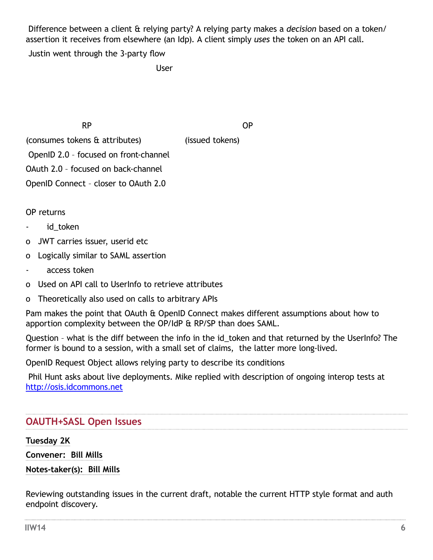<span id="page-5-0"></span> Difference between a client & relying party? A relying party makes a *decision* based on a token/ assertion it receives from elsewhere (an Idp). A client simply *uses* the token on an API call.

Justin went through the 3-party flow

**User** Service State Service State State State State State State State State State State State State State State State State State State State State State State State State State State State State State State State State S

RP OP

(consumes tokens & attributes) (issued tokens) OpenID 2.0 – focused on front-channel OAuth 2.0 – focused on back-channel

OpenID Connect – closer to OAuth 2.0

OP returns

- id token
- o JWT carries issuer, userid etc
- o Logically similar to SAML assertion
- access token
- o Used on API call to UserInfo to retrieve attributes
- o Theoretically also used on calls to arbitrary APIs

Pam makes the point that OAuth & OpenID Connect makes different assumptions about how to apportion complexity between the OP/IdP & RP/SP than does SAML.

Question - what is the diff between the info in the id token and that returned by the UserInfo? The former is bound to a session, with a small set of claims, the latter more long-lived.

OpenID Request Object allows relying party to describe its conditions

Phil Hunt asks about live deployments. Mike replied with description of ongoing interop tests at <http://osis.idcommons.net>

# **OAUTH+SASL Open Issues**

**Tuesday 2K**

**Convener: Bill Mills**

**Notes-taker(s): Bill Mills**

Reviewing outstanding issues in the current draft, notable the current HTTP style format and auth endpoint discovery.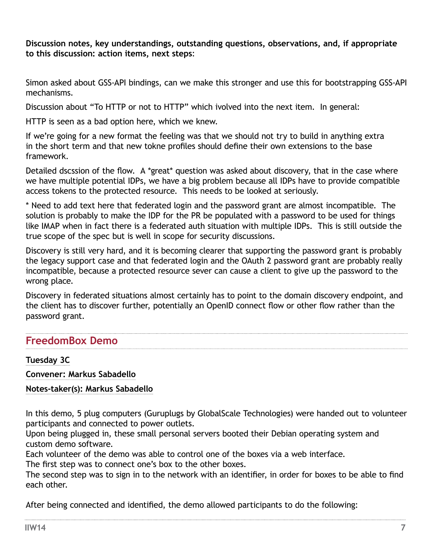<span id="page-6-0"></span>**Discussion notes, key understandings, outstanding questions, observations, and, if appropriate to this discussion: action items, next steps**:

Simon asked about GSS-API bindings, can we make this stronger and use this for bootstrapping GSS-API mechanisms.

Discussion about "To HTTP or not to HTTP" which ivolved into the next item. In general:

HTTP is seen as a bad option here, which we knew.

If we're going for a new format the feeling was that we should not try to build in anything extra in the short term and that new tokne profiles should define their own extensions to the base framework.

Detailed dscssion of the flow. A \*great\* question was asked about discovery, that in the case where we have multiple potential IDPs, we have a big problem because all IDPs have to provide compatible access tokens to the protected resource. This needs to be looked at seriously.

\* Need to add text here that federated login and the password grant are almost incompatible. The solution is probably to make the IDP for the PR be populated with a password to be used for things like IMAP when in fact there is a federated auth situation with multiple IDPs. This is still outside the true scope of the spec but is well in scope for security discussions.

Discovery is still very hard, and it is becoming clearer that supporting the password grant is probably the legacy support case and that federated login and the OAuth 2 password grant are probably really incompatible, because a protected resource sever can cause a client to give up the password to the wrong place.

Discovery in federated situations almost certainly has to point to the domain discovery endpoint, and the client has to discover further, potentially an OpenID connect flow or other flow rather than the password grant.

# **FreedomBox Demo**

## **Tuesday 3C**

**Convener: Markus Sabadello**

**Notes-taker(s): Markus Sabadello** 

In this demo, 5 plug computers (Guruplugs by GlobalScale Technologies) were handed out to volunteer participants and connected to power outlets.

Upon being plugged in, these small personal servers booted their Debian operating system and custom demo software.

Each volunteer of the demo was able to control one of the boxes via a web interface.

The first step was to connect one's box to the other boxes.

The second step was to sign in to the network with an identifier, in order for boxes to be able to find each other.

After being connected and identified, the demo allowed participants to do the following: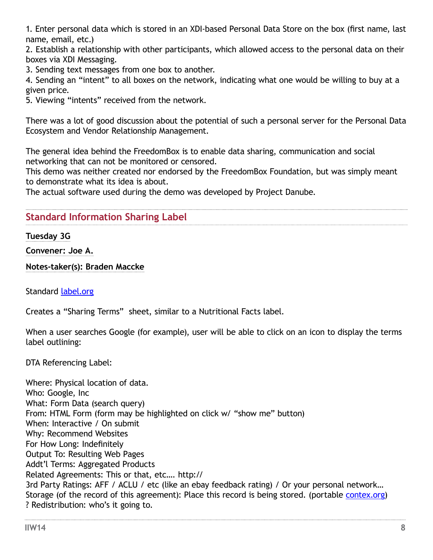<span id="page-7-0"></span>1. Enter personal data which is stored in an XDI-based Personal Data Store on the box (first name, last name, email, etc.)

2. Establish a relationship with other participants, which allowed access to the personal data on their boxes via XDI Messaging.

3. Sending text messages from one box to another.

4. Sending an "intent" to all boxes on the network, indicating what one would be willing to buy at a given price.

5. Viewing "intents" received from the network.

There was a lot of good discussion about the potential of such a personal server for the Personal Data Ecosystem and Vendor Relationship Management.

The general idea behind the FreedomBox is to enable data sharing, communication and social networking that can not be monitored or censored.

This demo was neither created nor endorsed by the FreedomBox Foundation, but was simply meant to demonstrate what its idea is about.

The actual software used during the demo was developed by Project Danube.

# **Standard Information Sharing Label**

#### **Tuesday 3G**

**Convener: Joe A.** 

**Notes-taker(s): Braden Maccke**

Standard [label.org](http://label.org)

Creates a "Sharing Terms" sheet, similar to a Nutritional Facts label.

When a user searches Google (for example), user will be able to click on an icon to display the terms label outlining:

DTA Referencing Label:

Where: Physical location of data. Who: Google, Inc What: Form Data (search query) From: HTML Form (form may be highlighted on click w/ "show me" button) When: Interactive / On submit Why: Recommend Websites For How Long: Indefinitely Output To: Resulting Web Pages Addt'l Terms: Aggregated Products Related Agreements: This or that, etc…. http:// 3rd Party Ratings: AFF / ACLU / etc (like an ebay feedback rating) / Or your personal network... Storage (of the record of this agreement): Place this record is being stored. (portable [contex.org\)](http://contex.org) ? Redistribution: who's it going to.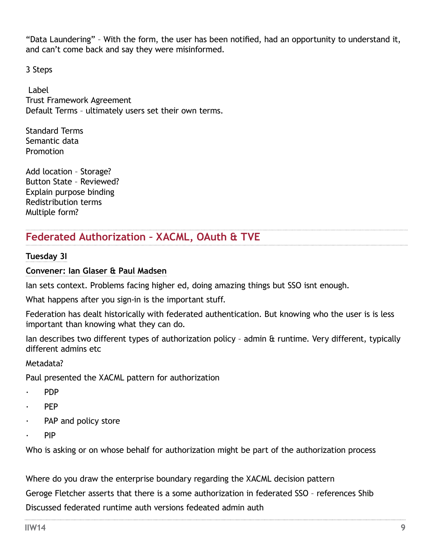"Data Laundering" – With the form, the user has been notified, had an opportunity to understand it, and can't come back and say they were misinformed.

3 Steps

 Label Trust Framework Agreement Default Terms – ultimately users set their own terms.

Standard Terms Semantic data Promotion

Add location – Storage? Button State – Reviewed? Explain purpose binding Redistribution terms Multiple form?

# **Federated Authorization – XACML, OAuth & TVE**

## **Tuesday 3I**

## **Convener: Ian Glaser & Paul Madsen**

Ian sets context. Problems facing higher ed, doing amazing things but SSO isnt enough.

What happens after you sign-in is the important stuff.

Federation has dealt historically with federated authentication. But knowing who the user is is less important than knowing what they can do.

Ian describes two different types of authorization policy – admin & runtime. Very different, typically different admins etc

## Metadata?

Paul presented the XACML pattern for authorization

- · PDP
- · PEP
- PAP and policy store
- · PIP

Who is asking or on whose behalf for authorization might be part of the authorization process

Where do you draw the enterprise boundary regarding the XACML decision pattern

Geroge Fletcher asserts that there is a some authorization in federated SSO – references Shib Discussed federated runtime auth versions fedeated admin auth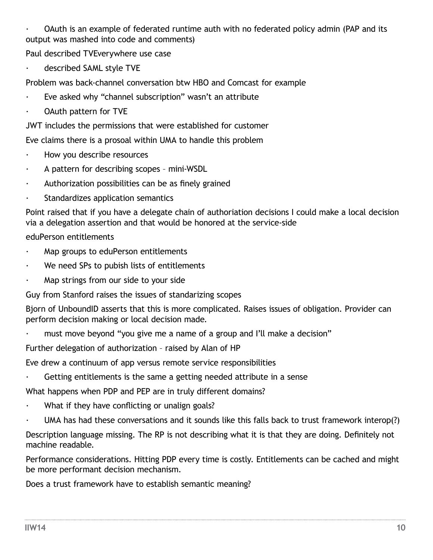<span id="page-9-0"></span>· OAuth is an example of federated runtime auth with no federated policy admin (PAP and its output was mashed into code and comments)

Paul described TVEverywhere use case

described SAML style TVE

Problem was back-channel conversation btw HBO and Comcast for example

- Eve asked why "channel subscription" wasn't an attribute
- OAuth pattern for TVE

JWT includes the permissions that were established for customer

Eve claims there is a prosoal within UMA to handle this problem

- · How you describe resources
- · A pattern for describing scopes mini-WSDL
- · Authorization possibilities can be as finely grained
- Standardizes application semantics

Point raised that if you have a delegate chain of authoriation decisions I could make a local decision via a delegation assertion and that would be honored at the service-side

## eduPerson entitlements

- Map groups to eduPerson entitlements
- We need SPs to pubish lists of entitlements
- Map strings from our side to your side

Guy from Stanford raises the issues of standarizing scopes

Bjorn of UnboundID asserts that this is more complicated. Raises issues of obligation. Provider can perform decision making or local decision made.

must move beyond "you give me a name of a group and I'll make a decision"

Further delegation of authorization – raised by Alan of HP

Eve drew a continuum of app versus remote service responsibilities

Getting entitlements is the same a getting needed attribute in a sense

What happens when PDP and PEP are in truly different domains?

- What if they have conflicting or unalign goals?
- UMA has had these conversations and it sounds like this falls back to trust framework interop(?)

Description language missing. The RP is not describing what it is that they are doing. Definitely not machine readable.

Performance considerations. Hitting PDP every time is costly. Entitlements can be cached and might be more performant decision mechanism.

Does a trust framework have to establish semantic meaning?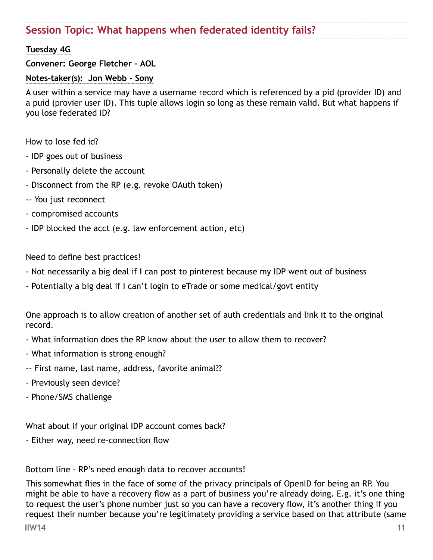# **Session Topic: What happens when federated identity fails?**

## **Tuesday 4G**

## **Convener: George Fletcher – AOL**

#### **Notes-taker(s): Jon Webb - Sony**

A user within a service may have a username record which is referenced by a pid (provider ID) and a puid (provier user ID). This tuple allows login so long as these remain valid. But what happens if you lose federated ID?

How to lose fed id?

- IDP goes out of business
- Personally delete the account
- Disconnect from the RP (e.g. revoke OAuth token)
- -- You just reconnect
- compromised accounts
- IDP blocked the acct (e.g. law enforcement action, etc)

Need to define best practices!

- Not necessarily a big deal if I can post to pinterest because my IDP went out of business
- Potentially a big deal if I can't login to eTrade or some medical/govt entity

One approach is to allow creation of another set of auth credentials and link it to the original record.

- What information does the RP know about the user to allow them to recover?
- What information is strong enough?
- -- First name, last name, address, favorite animal??
- Previously seen device?
- Phone/SMS challenge

What about if your original IDP account comes back?

- Either way, need re-connection flow

Bottom line - RP's need enough data to recover accounts!

This somewhat flies in the face of some of the privacy principals of OpenID for being an RP. You might be able to have a recovery flow as a part of business you're already doing. E.g. it's one thing to request the user's phone number just so you can have a recovery flow, it's another thing if you request their number because you're legitimately providing a service based on that attribute (same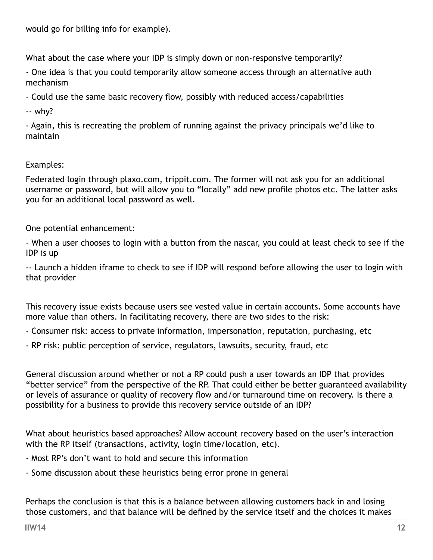<span id="page-11-0"></span>would go for billing info for example).

What about the case where your IDP is simply down or non-responsive temporarily?

- One idea is that you could temporarily allow someone access through an alternative auth mechanism

- Could use the same basic recovery flow, possibly with reduced access/capabilities

-- why?

- Again, this is recreating the problem of running against the privacy principals we'd like to maintain

## Examples:

Federated login through plaxo.com, trippit.com. The former will not ask you for an additional username or password, but will allow you to "locally" add new profile photos etc. The latter asks you for an additional local password as well.

One potential enhancement:

- When a user chooses to login with a button from the nascar, you could at least check to see if the IDP is up

-- Launch a hidden iframe to check to see if IDP will respond before allowing the user to login with that provider

This recovery issue exists because users see vested value in certain accounts. Some accounts have more value than others. In facilitating recovery, there are two sides to the risk:

- Consumer risk: access to private information, impersonation, reputation, purchasing, etc

- RP risk: public perception of service, regulators, lawsuits, security, fraud, etc

General discussion around whether or not a RP could push a user towards an IDP that provides "better service" from the perspective of the RP. That could either be better guaranteed availability or levels of assurance or quality of recovery flow and/or turnaround time on recovery. Is there a possibility for a business to provide this recovery service outside of an IDP?

What about heuristics based approaches? Allow account recovery based on the user's interaction with the RP itself (transactions, activity, login time/location, etc).

- Most RP's don't want to hold and secure this information

- Some discussion about these heuristics being error prone in general

Perhaps the conclusion is that this is a balance between allowing customers back in and losing those customers, and that balance will be defined by the service itself and the choices it makes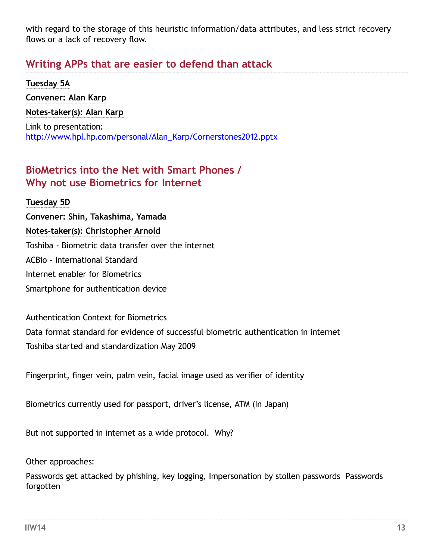with regard to the storage of this heuristic information/data attributes, and less strict recovery flows or a lack of recovery flow.

# **Writing APPs that are easier to defend than attack**

## **Tuesday 5A**

**Convener: Alan Karp Notes-taker(s): Alan Karp** Link to presentation: [http://www.hpl.hp.com/personal/Alan\\_Karp/Cornerstones2012.pptx](http://www.hpl.hp.com/personal/Alan_Karp/Cornerstones2012.pptx)

# **BioMetrics into the Net with Smart Phones / Why not use Biometrics for Internet**

# **Tuesday 5D**

**Convener: Shin, Takashima, Yamada Notes-taker(s): Christopher Arnold** Toshiba - Biometric data transfer over the internet ACBio - International Standard Internet enabler for Biometrics Smartphone for authentication device

Authentication Context for Biometrics

Data format standard for evidence of successful biometric authentication in internet Toshiba started and standardization May 2009

Fingerprint, finger vein, palm vein, facial image used as verifier of identity

Biometrics currently used for passport, driver's license, ATM (In Japan)

But not supported in internet as a wide protocol. Why?

Other approaches:

Passwords get attacked by phishing, key logging, Impersonation by stollen passwords Passwords forgotten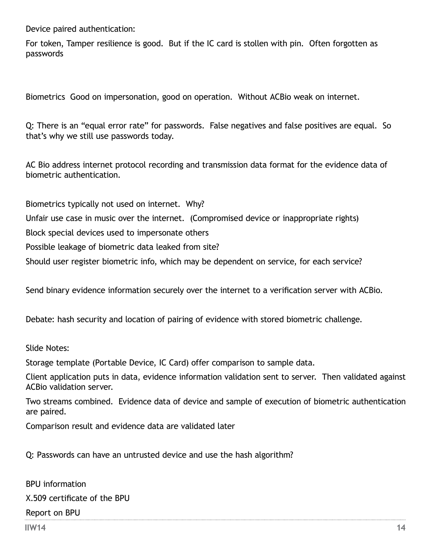<span id="page-13-0"></span>Device paired authentication:

For token, Tamper resilience is good. But if the IC card is stollen with pin. Often forgotten as passwords

Biometrics Good on impersonation, good on operation. Without ACBio weak on internet.

Q: There is an "equal error rate" for passwords. False negatives and false positives are equal. So that's why we still use passwords today.

AC Bio address internet protocol recording and transmission data format for the evidence data of biometric authentication.

Biometrics typically not used on internet. Why? Unfair use case in music over the internet. (Compromised device or inappropriate rights) Block special devices used to impersonate others Possible leakage of biometric data leaked from site? Should user register biometric info, which may be dependent on service, for each service?

Send binary evidence information securely over the internet to a verification server with ACBio.

Debate: hash security and location of pairing of evidence with stored biometric challenge.

Slide Notes:

Storage template (Portable Device, IC Card) offer comparison to sample data.

Client application puts in data, evidence information validation sent to server. Then validated against ACBio validation server.

Two streams combined. Evidence data of device and sample of execution of biometric authentication are paired.

Comparison result and evidence data are validated later

Q: Passwords can have an untrusted device and use the hash algorithm?

BPU information X.509 certificate of the BPU Report on BPU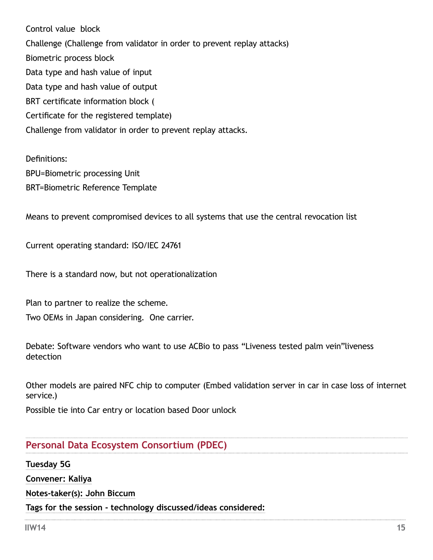Control value block Challenge (Challenge from validator in order to prevent replay attacks) Biometric process block Data type and hash value of input Data type and hash value of output BRT certificate information block ( Certificate for the registered template) Challenge from validator in order to prevent replay attacks.

Definitions: BPU=Biometric processing Unit BRT=Biometric Reference Template

Means to prevent compromised devices to all systems that use the central revocation list

Current operating standard: ISO/IEC 24761

There is a standard now, but not operationalization

Plan to partner to realize the scheme.

Two OEMs in Japan considering. One carrier.

Debate: Software vendors who want to use ACBio to pass "Liveness tested palm vein"liveness detection

Other models are paired NFC chip to computer (Embed validation server in car in case loss of internet service.)

Possible tie into Car entry or location based Door unlock

## **Personal Data Ecosystem Consortium (PDEC)**

**Tuesday 5G Convener: Kaliya Notes-taker(s): John Biccum Tags for the session - technology discussed/ideas considered:**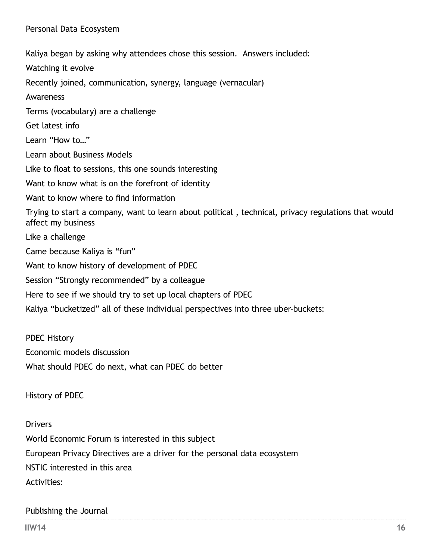<span id="page-15-0"></span>Kaliya began by asking why attendees chose this session. Answers included: Watching it evolve Recently joined, communication, synergy, language (vernacular) Awareness Terms (vocabulary) are a challenge Get latest info Learn "How to…" Learn about Business Models Like to float to sessions, this one sounds interesting Want to know what is on the forefront of identity Want to know where to find information Trying to start a company, want to learn about political , technical, privacy regulations that would affect my business Like a challenge Came because Kaliya is "fun" Want to know history of development of PDEC Session "Strongly recommended" by a colleague Here to see if we should try to set up local chapters of PDEC Kaliya "bucketized" all of these individual perspectives into three uber-buckets:

PDEC History Economic models discussion What should PDEC do next, what can PDEC do better

History of PDEC

#### Drivers

World Economic Forum is interested in this subject European Privacy Directives are a driver for the personal data ecosystem NSTIC interested in this area Activities:

#### Publishing the Journal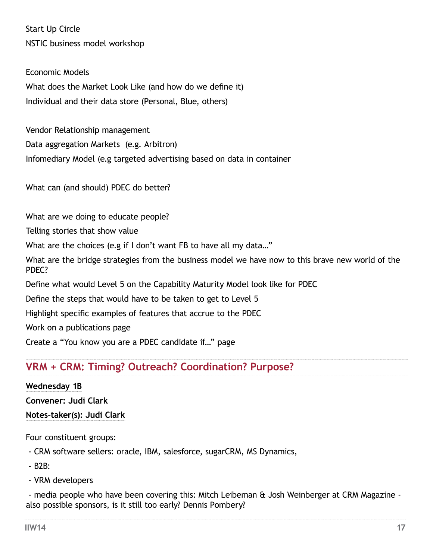Start Up Circle NSTIC business model workshop

Economic Models What does the Market Look Like (and how do we define it) Individual and their data store (Personal, Blue, others)

Vendor Relationship management Data aggregation Markets (e.g. Arbitron) Infomediary Model (e.g targeted advertising based on data in container

What can (and should) PDEC do better?

What are we doing to educate people?

Telling stories that show value

What are the choices (e.g if I don't want FB to have all my data..."

What are the bridge strategies from the business model we have now to this brave new world of the PDEC?

Define what would Level 5 on the Capability Maturity Model look like for PDEC

Define the steps that would have to be taken to get to Level 5

Highlight specific examples of features that accrue to the PDEC

Work on a publications page

Create a "You know you are a PDEC candidate if…" page

# **VRM + CRM: Timing? Outreach? Coordination? Purpose?**

#### **Wednesday 1B**

**Convener: Judi Clark**

**Notes-taker(s): Judi Clark**

Four constituent groups:

- CRM software sellers: oracle, IBM, salesforce, sugarCRM, MS Dynamics,

- B2B:

- VRM developers

- media people who have been covering this: Mitch Leibeman & Josh Weinberger at CRM Magazine also possible sponsors, is it still too early? Dennis Pombery?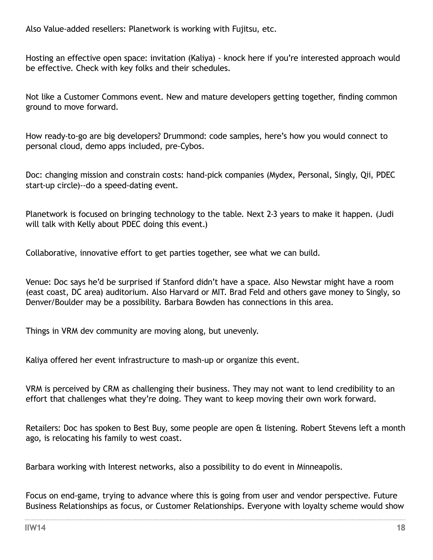<span id="page-17-0"></span>Also Value-added resellers: Planetwork is working with Fujitsu, etc.

Hosting an effective open space: invitation (Kaliya) - knock here if you're interested approach would be effective. Check with key folks and their schedules.

Not like a Customer Commons event. New and mature developers getting together, finding common ground to move forward.

How ready-to-go are big developers? Drummond: code samples, here's how you would connect to personal cloud, demo apps included, pre-Cybos.

Doc: changing mission and constrain costs: hand-pick companies (Mydex, Personal, Singly, Qii, PDEC start-up circle)--do a speed-dating event.

Planetwork is focused on bringing technology to the table. Next 2-3 years to make it happen. (Judi will talk with Kelly about PDEC doing this event.)

Collaborative, innovative effort to get parties together, see what we can build.

Venue: Doc says he'd be surprised if Stanford didn't have a space. Also Newstar might have a room (east coast, DC area) auditorium. Also Harvard or MIT. Brad Feld and others gave money to Singly, so Denver/Boulder may be a possibility. Barbara Bowden has connections in this area.

Things in VRM dev community are moving along, but unevenly.

Kaliya offered her event infrastructure to mash-up or organize this event.

VRM is perceived by CRM as challenging their business. They may not want to lend credibility to an effort that challenges what they're doing. They want to keep moving their own work forward.

Retailers: Doc has spoken to Best Buy, some people are open & listening. Robert Stevens left a month ago, is relocating his family to west coast.

Barbara working with Interest networks, also a possibility to do event in Minneapolis.

Focus on end-game, trying to advance where this is going from user and vendor perspective. Future Business Relationships as focus, or Customer Relationships. Everyone with loyalty scheme would show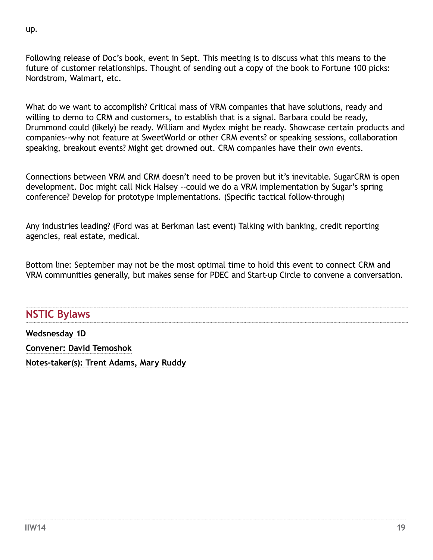Following release of Doc's book, event in Sept. This meeting is to discuss what this means to the future of customer relationships. Thought of sending out a copy of the book to Fortune 100 picks: Nordstrom, Walmart, etc.

What do we want to accomplish? Critical mass of VRM companies that have solutions, ready and willing to demo to CRM and customers, to establish that is a signal. Barbara could be ready, Drummond could (likely) be ready. William and Mydex might be ready. Showcase certain products and companies--why not feature at SweetWorld or other CRM events? or speaking sessions, collaboration speaking, breakout events? Might get drowned out. CRM companies have their own events.

Connections between VRM and CRM doesn't need to be proven but it's inevitable. SugarCRM is open development. Doc might call Nick Halsey --could we do a VRM implementation by Sugar's spring conference? Develop for prototype implementations. (Specific tactical follow-through)

Any industries leading? (Ford was at Berkman last event) Talking with banking, credit reporting agencies, real estate, medical.

Bottom line: September may not be the most optimal time to hold this event to connect CRM and VRM communities generally, but makes sense for PDEC and Start-up Circle to convene a conversation.

# **NSTIC Bylaws**

**Wedsnesday 1D Convener: David Temoshok Notes-taker(s): Trent Adams, Mary Ruddy**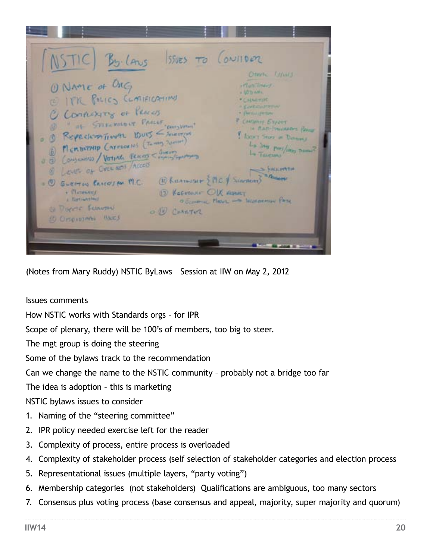<span id="page-19-0"></span>By Laws Issues To Consider Otwine Linking ONAME of ORG<br>E ITR POLICS COMELCATION irlan Diary. **NACTIONAL** · GENETIA A COVERNMENT C Contextry of Pensy - Decoupement 2 Continers Export 1 = of STEERING OF PARCES CONSTANT Te Ram-Toursears Resur Repeatom Times Burs - Sucrem I Now I Story at Dates B MCNUTHIP CATEGORIES (Toming Street) La hour port/inter Conservoir) Vertier Percep - Survivor (b) La Terrino  $0<sup>2</sup>$ Level of Ovenues Acces **SE FACILITY THE** 2 **RANGERY** = 1 SLEETON CALCULAR M.C. BRUANNISHT {MC & SINTERN) **B Kerman OK AMAT** . Clearing A flavourned O OLIMPING PHONE - WELL DRAINING PATH DIRECT BELOWING O W CHETER SO OPIOVOJAN (UKES

(Notes from Mary Ruddy) NSTIC ByLaws – Session at IIW on May 2, 2012

Issues comments

How NSTIC works with Standards orgs – for IPR

Scope of plenary, there will be 100's of members, too big to steer.

The mgt group is doing the steering

Some of the bylaws track to the recommendation

Can we change the name to the NSTIC community – probably not a bridge too far

The idea is adoption – this is marketing

NSTIC bylaws issues to consider

- 1. Naming of the "steering committee"
- 2. IPR policy needed exercise left for the reader
- 3. Complexity of process, entire process is overloaded
- 4. Complexity of stakeholder process (self selection of stakeholder categories and election process
- 5. Representational issues (multiple layers, "party voting")
- 6. Membership categories (not stakeholders) Qualifications are ambiguous, too many sectors
- 7. Consensus plus voting process (base consensus and appeal, majority, super majority and quorum)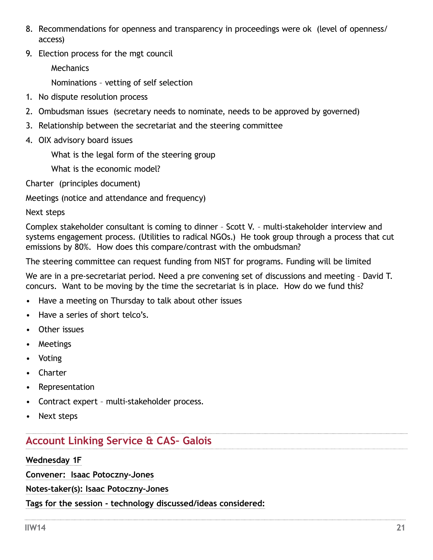- <span id="page-20-0"></span>8. Recommendations for openness and transparency in proceedings were ok (level of openness/ access)
- 9. Election process for the mgt council

**Mechanics** 

Nominations – vetting of self selection

- 1. No dispute resolution process
- 2. Ombudsman issues (secretary needs to nominate, needs to be approved by governed)
- 3. Relationship between the secretariat and the steering committee
- 4. OIX advisory board issues

What is the legal form of the steering group

What is the economic model?

Charter (principles document)

Meetings (notice and attendance and frequency)

Next steps

Complex stakeholder consultant is coming to dinner – Scott V. – multi-stakeholder interview and systems engagement process. (Utilities to radical NGOs.) He took group through a process that cut emissions by 80%. How does this compare/contrast with the ombudsman?

The steering committee can request funding from NIST for programs. Funding will be limited

We are in a pre-secretariat period. Need a pre convening set of discussions and meeting – David T. concurs. Want to be moving by the time the secretariat is in place. How do we fund this?

- Have a meeting on Thursday to talk about other issues
- Have a series of short telco's.
- Other issues
- Meetings
- Voting
- Charter
- Representation
- Contract expert multi-stakeholder process.
- Next steps

# **Account Linking Service & CAS– Galois**

# **Wednesday 1F**

**Convener: Isaac Potoczny-Jones**

**Notes-taker(s): Isaac Potoczny-Jones**

**Tags for the session - technology discussed/ideas considered:**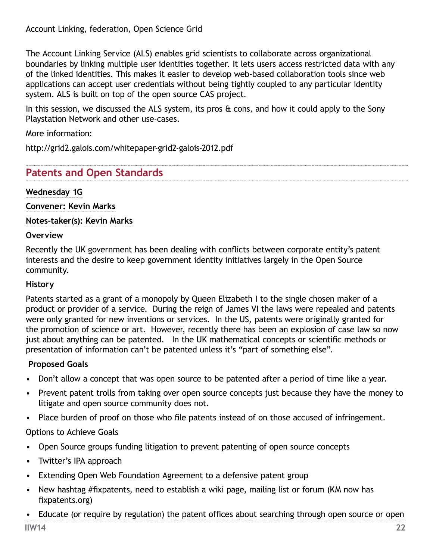<span id="page-21-0"></span>The Account Linking Service (ALS) enables grid scientists to collaborate across organizational boundaries by linking multiple user identities together. It lets users access restricted data with any of the linked identities. This makes it easier to develop web-based collaboration tools since web applications can accept user credentials without being tightly coupled to any particular identity system. ALS is built on top of the open source CAS project.

In this session, we discussed the ALS system, its pros  $\theta$  cons, and how it could apply to the Sony Playstation Network and other use-cases.

More information:

http://grid2.galois.com/whitepaper-grid2-galois-2012.pdf

# **Patents and Open Standards**

## **Wednesday 1G**

**Convener: Kevin Marks**

**Notes-taker(s): Kevin Marks**

#### **Overview**

Recently the UK government has been dealing with conflicts between corporate entity's patent interests and the desire to keep government identity initiatives largely in the Open Source community.

#### **History**

Patents started as a grant of a monopoly by Queen Elizabeth I to the single chosen maker of a product or provider of a service. During the reign of James VI the laws were repealed and patents were only granted for new inventions or services. In the US, patents were originally granted for the promotion of science or art. However, recently there has been an explosion of case law so now just about anything can be patented. In the UK mathematical concepts or scientific methods or presentation of information can't be patented unless it's "part of something else".

## **Proposed Goals**

- Don't allow a concept that was open source to be patented after a period of time like a year.
- Prevent patent trolls from taking over open source concepts just because they have the money to litigate and open source community does not.
- Place burden of proof on those who file patents instead of on those accused of infringement.

## Options to Achieve Goals

- Open Source groups funding litigation to prevent patenting of open source concepts
- Twitter's IPA approach
- Extending Open Web Foundation Agreement to a defensive patent group
- New hashtag #fixpatents, need to establish a wiki page, mailing list or forum (KM now has [fixpatents.org](http://fixpatents.org))
- Educate (or require by regulation) the patent offices about searching through open source or open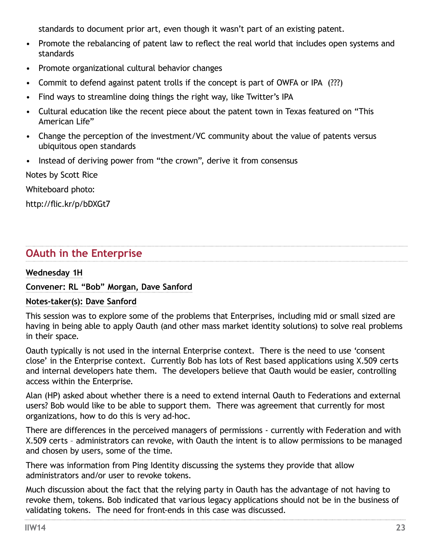<span id="page-22-0"></span>standards to document prior art, even though it wasn't part of an existing patent.

- Promote the rebalancing of patent law to reflect the real world that includes open systems and standards
- Promote organizational cultural behavior changes
- Commit to defend against patent trolls if the concept is part of OWFA or IPA (???)
- Find ways to streamline doing things the right way, like Twitter's IPA
- Cultural education like the recent piece about the patent town in Texas featured on "This American Life"
- Change the perception of the investment/VC community about the value of patents versus ubiquitous open standards
- Instead of deriving power from "the crown", derive it from consensus

Notes by Scott Rice

Whiteboard photo:

<http://flic.kr/p/bDXGt7>

# **OAuth in the Enterprise**

## **Wednesday 1H**

## **Convener: RL "Bob" Morgan, Dave Sanford**

## **Notes-taker(s): Dave Sanford**

This session was to explore some of the problems that Enterprises, including mid or small sized are having in being able to apply Oauth (and other mass market identity solutions) to solve real problems in their space.

Oauth typically is not used in the internal Enterprise context. There is the need to use 'consent close' in the Enterprise context. Currently Bob has lots of Rest based applications using X.509 certs and internal developers hate them. The developers believe that Oauth would be easier, controlling access within the Enterprise.

Alan (HP) asked about whether there is a need to extend internal Oauth to Federations and external users? Bob would like to be able to support them. There was agreement that currently for most organizations, how to do this is very ad-hoc.

There are differences in the perceived managers of permissions - currently with Federation and with X.509 certs – administrators can revoke, with Oauth the intent is to allow permissions to be managed and chosen by users, some of the time.

There was information from Ping Identity discussing the systems they provide that allow administrators and/or user to revoke tokens.

Much discussion about the fact that the relying party in Oauth has the advantage of not having to revoke them, tokens. Bob indicated that various legacy applications should not be in the business of validating tokens. The need for front-ends in this case was discussed.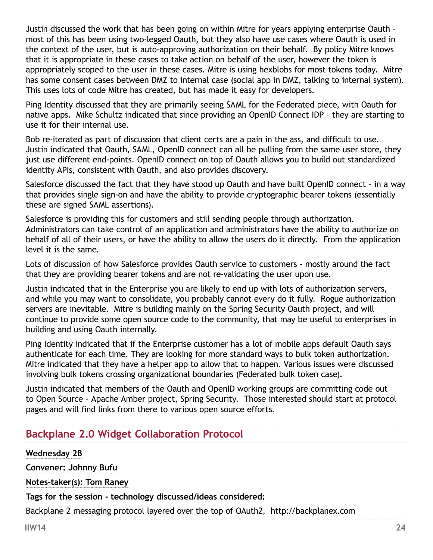<span id="page-23-0"></span>Justin discussed the work that has been going on within Mitre for years applying enterprise Oauth – most of this has been using two-legged Oauth, but they also have use cases where Oauth is used in the context of the user, but is auto-approving authorization on their behalf. By policy Mitre knows that it is appropriate in these cases to take action on behalf of the user, however the token is appropriately scoped to the user in these cases. Mitre is using hexblobs for most tokens today. Mitre has some consent cases between DMZ to internal case (social app in DMZ, talking to internal system). This uses lots of code Mitre has created, but has made it easy for developers.

Ping Identity discussed that they are primarily seeing SAML for the Federated piece, with Oauth for native apps. Mike Schultz indicated that since providing an OpenID Connect IDP – they are starting to use it for their internal use.

Bob re-iterated as part of discussion that client certs are a pain in the ass, and difficult to use. Justin indicated that Oauth, SAML, OpenID connect can all be pulling from the same user store, they just use different end-points. OpenID connect on top of Oauth allows you to build out standardized identity APIs, consistent with Oauth, and also provides discovery.

Salesforce discussed the fact that they have stood up Oauth and have built OpenID connect – in a way that provides single sign-on and have the ability to provide cryptographic bearer tokens (essentially these are signed SAML assertions).

Salesforce is providing this for customers and still sending people through authorization. Administrators can take control of an application and administrators have the ability to authorize on behalf of all of their users, or have the ability to allow the users do it directly. From the application level it is the same.

Lots of discussion of how Salesforce provides Oauth service to customers – mostly around the fact that they are providing bearer tokens and are not re-validating the user upon use.

Justin indicated that in the Enterprise you are likely to end up with lots of authorization servers, and while you may want to consolidate, you probably cannot every do it fully. Rogue authorization servers are inevitable. Mitre is building mainly on the Spring Security Oauth project, and will continue to provide some open source code to the community, that may be useful to enterprises in building and using Oauth internally.

Ping Identity indicated that if the Enterprise customer has a lot of mobile apps default Oauth says authenticate for each time. They are looking for more standard ways to bulk token authorization. Mitre indicated that they have a helper app to allow that to happen. Various issues were discussed involving bulk tokens crossing organizational boundaries (Federated bulk token case).

Justin indicated that members of the Oauth and OpenID working groups are committing code out to Open Source – Apache Amber project, Spring Security. Those interested should start at protocol pages and will find links from there to various open source efforts.

# **Backplane 2.0 Widget Collaboration Protocol**

**Wednesday 2B Convener: Johnny Bufu Notes-taker(s): Tom Raney Tags for the session - technology discussed/ideas considered:**  Backplane 2 messaging protocol layered over the top of OAuth2, http://backplanex.com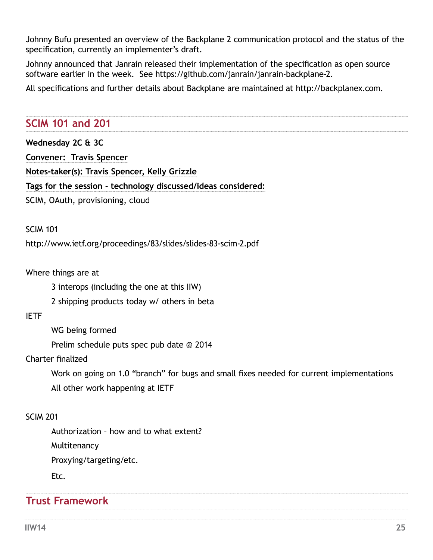<span id="page-24-0"></span>Johnny Bufu presented an overview of the Backplane 2 communication protocol and the status of the specification, currently an implementer's draft.

Johnny announced that Janrain released their implementation of the specification as open source software earlier in the week. See https://github.com/janrain/janrain-backplane-2.

All specifications and further details about Backplane are maintained at http://backplanex.com.

# **SCIM 101 and 201**

| Wednesday 2C & 3C                |                                                               |  |
|----------------------------------|---------------------------------------------------------------|--|
| Convener: Travis Spencer         |                                                               |  |
|                                  | Notes-taker(s): Travis Spencer, Kelly Grizzle                 |  |
|                                  | Tags for the session - technology discussed/ideas considered: |  |
| SCIM, OAuth, provisioning, cloud |                                                               |  |

SCIM 101

http://www.ietf.org/proceedings/83/slides/slides-83-scim-2.pdf

Where things are at

3 interops (including the one at this IIW)

2 shipping products today w/ others in beta

## IETF

WG being formed

Prelim schedule puts spec pub date @ 2014

## Charter finalized

Work on going on 1.0 "branch" for bugs and small fixes needed for current implementations All other work happening at IETF

## SCIM 201

Authorization – how and to what extent?

Multitenancy

Proxying/targeting/etc.

Etc.

# **Trust Framework**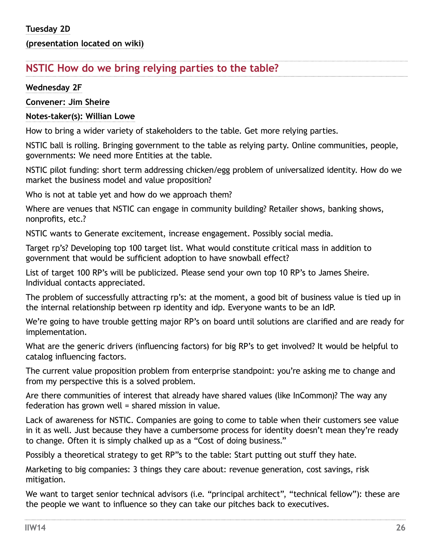## **(presentation located on wiki)**

# **NSTIC How do we bring relying parties to the table?**

#### **Wednesday 2F**

**Convener: Jim Sheire**

## **Notes-taker(s): Willian Lowe**

How to bring a wider variety of stakeholders to the table. Get more relying parties.

NSTIC ball is rolling. Bringing government to the table as relying party. Online communities, people, governments: We need more Entities at the table.

NSTIC pilot funding: short term addressing chicken/egg problem of universalized identity. How do we market the business model and value proposition?

Who is not at table yet and how do we approach them?

Where are venues that NSTIC can engage in community building? Retailer shows, banking shows, nonprofits, etc.?

NSTIC wants to Generate excitement, increase engagement. Possibly social media.

Target rp's? Developing top 100 target list. What would constitute critical mass in addition to government that would be sufficient adoption to have snowball effect?

List of target 100 RP's will be publicized. Please send your own top 10 RP's to James Sheire. Individual contacts appreciated.

The problem of successfully attracting rp's: at the moment, a good bit of business value is tied up in the internal relationship between rp identity and idp. Everyone wants to be an IdP.

We're going to have trouble getting major RP's on board until solutions are clarified and are ready for implementation.

What are the generic drivers (influencing factors) for big RP's to get involved? It would be helpful to catalog influencing factors.

The current value proposition problem from enterprise standpoint: you're asking me to change and from my perspective this is a solved problem.

Are there communities of interest that already have shared values (like InCommon)? The way any federation has grown well = shared mission in value.

Lack of awareness for NSTIC. Companies are going to come to table when their customers see value in it as well. Just because they have a cumbersome process for identity doesn't mean they're ready to change. Often it is simply chalked up as a "Cost of doing business."

Possibly a theoretical strategy to get RP"s to the table: Start putting out stuff they hate.

Marketing to big companies: 3 things they care about: revenue generation, cost savings, risk mitigation.

We want to target senior technical advisors (i.e. "principal architect", "technical fellow"): these are the people we want to influence so they can take our pitches back to executives.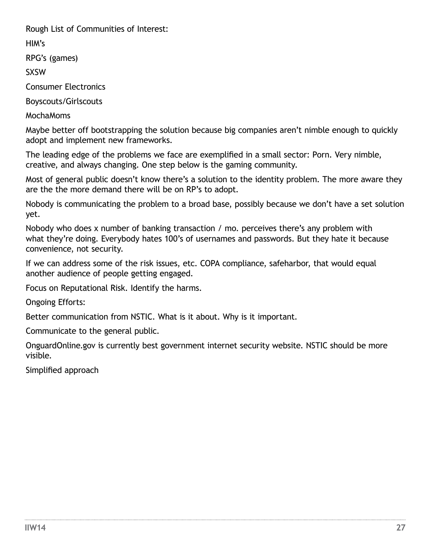<span id="page-26-0"></span>Rough List of Communities of Interest:

HIM's

RPG's (games)

SXSW

Consumer Electronics

Boyscouts/Girlscouts

MochaMoms

Maybe better off bootstrapping the solution because big companies aren't nimble enough to quickly adopt and implement new frameworks.

The leading edge of the problems we face are exemplified in a small sector: Porn. Very nimble, creative, and always changing. One step below is the gaming community.

Most of general public doesn't know there's a solution to the identity problem. The more aware they are the the more demand there will be on RP's to adopt.

Nobody is communicating the problem to a broad base, possibly because we don't have a set solution yet.

Nobody who does x number of banking transaction / mo. perceives there's any problem with what they're doing. Everybody hates 100's of usernames and passwords. But they hate it because convenience, not security.

If we can address some of the risk issues, etc. COPA compliance, safeharbor, that would equal another audience of people getting engaged.

Focus on Reputational Risk. Identify the harms.

Ongoing Efforts:

Better communication from NSTIC. What is it about. Why is it important.

Communicate to the general public.

OnguardOnline.gov is currently best government internet security website. NSTIC should be more visible.

Simplified approach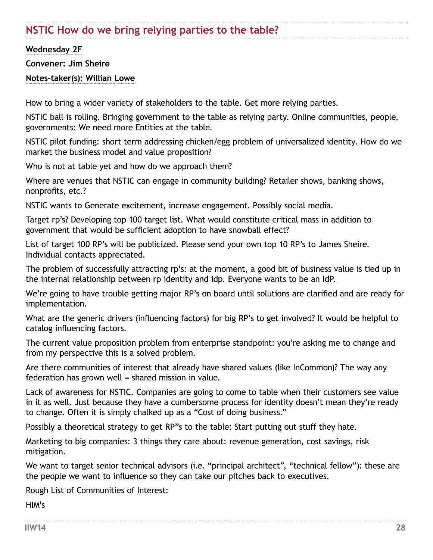# <span id="page-27-0"></span>**NSTIC How do we bring relying parties to the table?**

**Wednesday 2F**

**Convener: Jim Sheire**

**Notes-taker(s): Willian Lowe**

How to bring a wider variety of stakeholders to the table. Get more relying parties.

NSTIC ball is rolling. Bringing government to the table as relying party. Online communities, people, governments: We need more Entities at the table.

NSTIC pilot funding: short term addressing chicken/egg problem of universalized identity. How do we market the business model and value proposition?

Who is not at table yet and how do we approach them?

Where are venues that NSTIC can engage in community building? Retailer shows, banking shows, nonprofits, etc.?

NSTIC wants to Generate excitement, increase engagement. Possibly social media.

Target rp's? Developing top 100 target list. What would constitute critical mass in addition to government that would be sufficient adoption to have snowball effect?

List of target 100 RP's will be publicized. Please send your own top 10 RP's to James Sheire. Individual contacts appreciated.

The problem of successfully attracting rp's: at the moment, a good bit of business value is tied up in the internal relationship between rp identity and idp. Everyone wants to be an IdP.

We're going to have trouble getting major RP's on board until solutions are clarified and are ready for implementation.

What are the generic drivers (influencing factors) for big RP's to get involved? It would be helpful to catalog influencing factors.

The current value proposition problem from enterprise standpoint: you're asking me to change and from my perspective this is a solved problem.

Are there communities of interest that already have shared values (like InCommon)? The way any federation has grown well = shared mission in value.

Lack of awareness for NSTIC. Companies are going to come to table when their customers see value in it as well. Just because they have a cumbersome process for identity doesn't mean they're ready to change. Often it is simply chalked up as a "Cost of doing business."

Possibly a theoretical strategy to get RP"s to the table: Start putting out stuff they hate.

Marketing to big companies: 3 things they care about: revenue generation, cost savings, risk mitigation.

We want to target senior technical advisors (i.e. "principal architect", "technical fellow"): these are the people we want to influence so they can take our pitches back to executives.

Rough List of Communities of Interest:

HIM's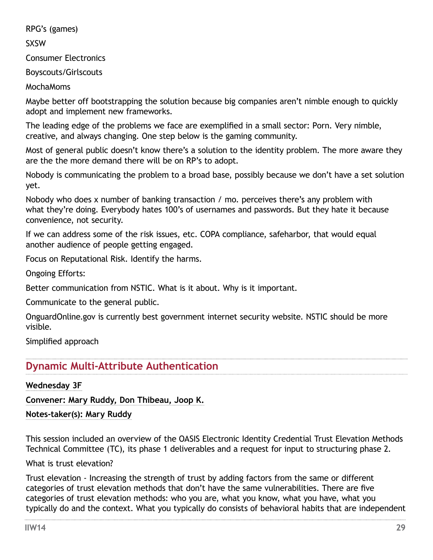<span id="page-28-0"></span>RPG's (games)

SXSW

Consumer Electronics

Boyscouts/Girlscouts

MochaMoms

Maybe better off bootstrapping the solution because big companies aren't nimble enough to quickly adopt and implement new frameworks.

The leading edge of the problems we face are exemplified in a small sector: Porn. Very nimble, creative, and always changing. One step below is the gaming community.

Most of general public doesn't know there's a solution to the identity problem. The more aware they are the the more demand there will be on RP's to adopt.

Nobody is communicating the problem to a broad base, possibly because we don't have a set solution yet.

Nobody who does x number of banking transaction / mo. perceives there's any problem with what they're doing. Everybody hates 100's of usernames and passwords. But they hate it because convenience, not security.

If we can address some of the risk issues, etc. COPA compliance, safeharbor, that would equal another audience of people getting engaged.

Focus on Reputational Risk. Identify the harms.

Ongoing Efforts:

Better communication from NSTIC. What is it about. Why is it important.

Communicate to the general public.

OnguardOnline.gov is currently best government internet security website. NSTIC should be more visible.

Simplified approach

# **Dynamic Multi-Attribute Authentication**

**Wednesday 3F**

**Convener: Mary Ruddy, Don Thibeau, Joop K.** 

**Notes-taker(s): Mary Ruddy** 

This session included an overview of the OASIS Electronic Identity Credential Trust Elevation Methods Technical Committee (TC), its phase 1 deliverables and a request for input to structuring phase 2.

What is trust elevation?

Trust elevation - Increasing the strength of trust by adding factors from the same or different categories of trust elevation methods that don't have the same vulnerabilities. There are five categories of trust elevation methods: who you are, what you know, what you have, what you typically do and the context. What you typically do consists of behavioral habits that are independent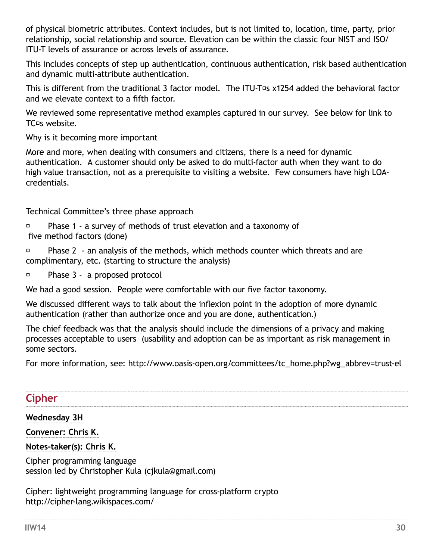<span id="page-29-0"></span>of physical biometric attributes. Context includes, but is not limited to, location, time, party, prior relationship, social relationship and source. Elevation can be within the classic four NIST and ISO/ ITU-T levels of assurance or across levels of assurance.

This includes concepts of step up authentication, continuous authentication, risk based authentication and dynamic multi-attribute authentication.

This is different from the traditional 3 factor model. The ITU-T<sup>o</sup>s  $x1254$  added the behavioral factor and we elevate context to a fifth factor.

We reviewed some representative method examples captured in our survey. See below for link to TC<sup>o</sup>s website.

Why is it becoming more important

More and more, when dealing with consumers and citizens, there is a need for dynamic authentication. A customer should only be asked to do multi-factor auth when they want to do high value transaction, not as a prerequisite to visiting a website. Few consumers have high LOAcredentials.

Technical Committee's three phase approach

 $\Box$  Phase 1 - a survey of methods of trust elevation and a taxonomy of five method factors (done)

 Phase 2 - an analysis of the methods, which methods counter which threats and are complimentary, etc. (starting to structure the analysis)

Phase 3 - a proposed protocol

We had a good session. People were comfortable with our five factor taxonomy.

We discussed different ways to talk about the inflexion point in the adoption of more dynamic authentication (rather than authorize once and you are done, authentication.)

The chief feedback was that the analysis should include the dimensions of a privacy and making processes acceptable to users (usability and adoption can be as important as risk management in some sectors.

For more information, see: [http://www.oasis-open.org/committees/tc\\_home.php?wg\\_abbrev=trust-el](http://www.oasis-open.org/committees/tc_home.php?wg_abbrev=trust-el)

# **Cipher**

## **Wednesday 3H**

**Convener: Chris K.**

## **Notes-taker(s): Chris K.**

Cipher programming language session led by Christopher Kula [\(cjkula@gmail.com\)](mailto:cjkula@gmail.com)

Cipher: lightweight programming language for cross-platform crypto <http://cipher-lang.wikispaces.com/>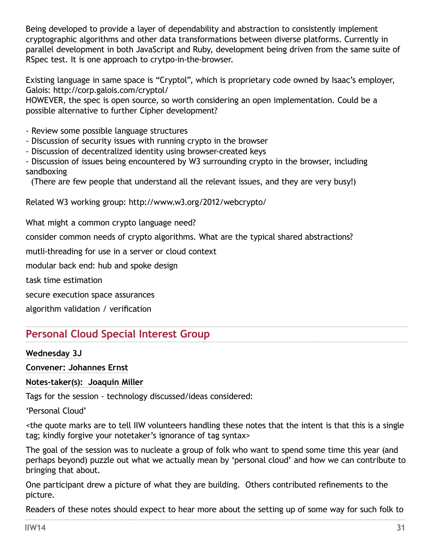<span id="page-30-0"></span>Being developed to provide a layer of dependability and abstraction to consistently implement cryptographic algorithms and other data transformations between diverse platforms. Currently in parallel development in both JavaScript and Ruby, development being driven from the same suite of RSpec test. It is one approach to crytpo-in-the-browser.

Existing language in same space is "Cryptol", which is proprietary code owned by Isaac's employer, Galois:<http://corp.galois.com/cryptol/>

HOWEVER, the spec is open source, so worth considering an open implementation. Could be a possible alternative to further Cipher development?

- Review some possible language structures
- Discussion of security issues with running crypto in the browser
- Discussion of decentralized identity using browser-created keys
- Discussion of issues being encountered by W3 surrounding crypto in the browser, including sandboxing

(There are few people that understand all the relevant issues, and they are very busy!)

Related W3 working group:<http://www.w3.org/2012/webcrypto/>

What might a common crypto language need?

consider common needs of crypto algorithms. What are the typical shared abstractions?

mutli-threading for use in a server or cloud context

modular back end: hub and spoke design

task time estimation

secure execution space assurances

algorithm validation / verification

# **Personal Cloud Special Interest Group**

#### **Wednesday 3J**

**Convener: Johannes Ernst**

**Notes-taker(s): Joaquin Miller**

Tags for the session - technology discussed/ideas considered:

'Personal Cloud'

<the quote marks are to tell IIW volunteers handling these notes that the intent is that this is a single tag; kindly forgive your notetaker's ignorance of tag syntax>

The goal of the session was to nucleate a group of folk who want to spend some time this year (and perhaps beyond) puzzle out what we actually mean by 'personal cloud' and how we can contribute to bringing that about.

One participant drew a picture of what they are building. Others contributed refinements to the picture.

Readers of these notes should expect to hear more about the setting up of some way for such folk to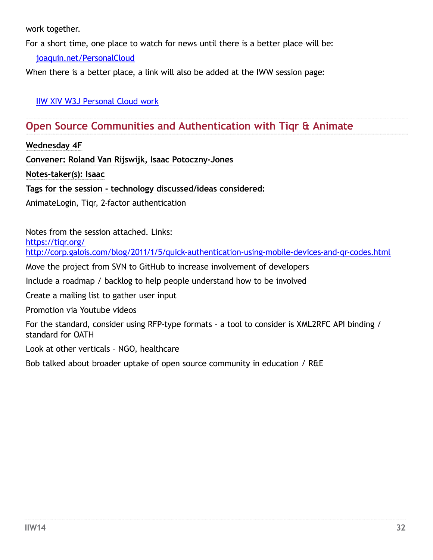<span id="page-31-0"></span>work together.

For a short time, one place to watch for news–until there is a better place–will be:

[joaquin.net/PersonalCloud](http://joaquin.net/PersonalCloud)

When there is a better place, a link will also be added at the IWW session page:

[IIW XIV W3J Personal Cloud work](http://iiw.idcommons.net/Personal_Cloud_work)

# **Open Source Communities and Authentication with Tiqr & Animate**

**Wednesday 4F**

**Convener: Roland Van Rijswijk, Isaac Potoczny-Jones**

**Notes-taker(s): Isaac**

**Tags for the session - technology discussed/ideas considered:** 

AnimateLogin, Tiqr, 2-factor authentication

Notes from the session attached. Links: https://tigr.org/ <http://corp.galois.com/blog/2011/1/5/quick-authentication-using-mobile-devices-and-qr-codes.html>

Move the project from SVN to GitHub to increase involvement of developers

Include a roadmap / backlog to help people understand how to be involved

Create a mailing list to gather user input

Promotion via Youtube videos

For the standard, consider using RFP-type formats – a tool to consider is XML2RFC API binding / standard for OATH

Look at other verticals – NGO, healthcare

Bob talked about broader uptake of open source community in education / R&E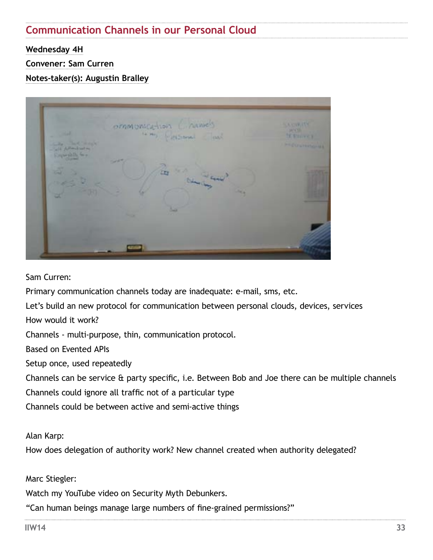# **Communication Channels in our Personal Cloud**

**Wednesday 4H**

**Convener: Sam Curren**

**Notes-taker(s): Augustin Bralley**



Sam Curren:

Primary communication channels today are inadequate: e-mail, sms, etc.

Let's build an new protocol for communication between personal clouds, devices, services

How would it work?

Channels - multi-purpose, thin, communication protocol.

Based on Evented APIs

Setup once, used repeatedly

Channels can be service & party specific, i.e. Between Bob and Joe there can be multiple channels

Channels could ignore all traffic not of a particular type

Channels could be between active and semi-active things

Alan Karp:

How does delegation of authority work? New channel created when authority delegated?

Marc Stiegler:

Watch my YouTube video on Security Myth Debunkers.

"Can human beings manage large numbers of fine-grained permissions?"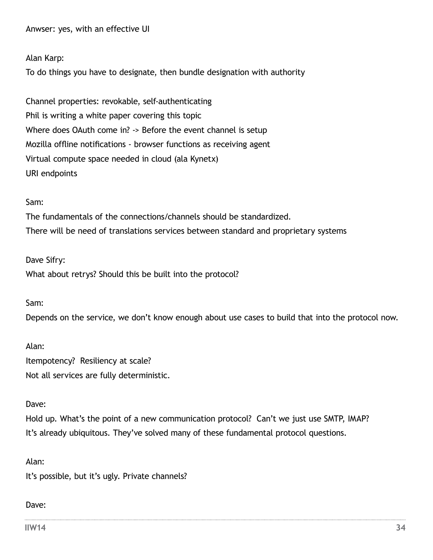<span id="page-33-0"></span>Anwser: yes, with an effective UI

#### Alan Karp:

To do things you have to designate, then bundle designation with authority

Channel properties: revokable, self-authenticating Phil is writing a white paper covering this topic Where does OAuth come in? -> Before the event channel is setup Mozilla offline notifications - browser functions as receiving agent Virtual compute space needed in cloud (ala Kynetx) URI endpoints

#### Sam:

The fundamentals of the connections/channels should be standardized. There will be need of translations services between standard and proprietary systems

Dave Sifry: What about retrys? Should this be built into the protocol?

Sam:

Depends on the service, we don't know enough about use cases to build that into the protocol now.

Alan: Itempotency? Resiliency at scale? Not all services are fully deterministic.

#### Dave:

Hold up. What's the point of a new communication protocol? Can't we just use SMTP, IMAP? It's already ubiquitous. They've solved many of these fundamental protocol questions.

Alan:

It's possible, but it's ugly. Private channels?

#### Dave:

**IIW14 34**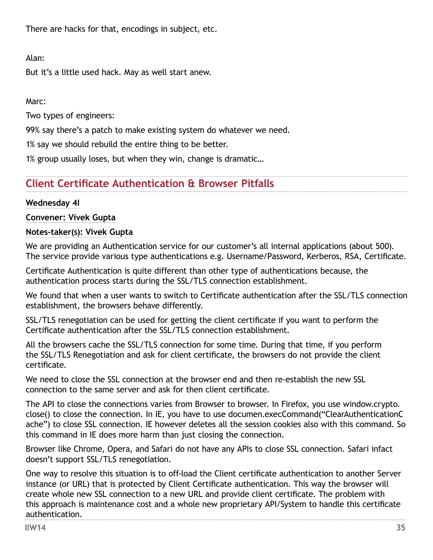<span id="page-34-0"></span>There are hacks for that, encodings in subject, etc.

Alan:

But it's a little used hack. May as well start anew.

Marc:

Two types of engineers:

99% say there's a patch to make existing system do whatever we need.

1% say we should rebuild the entire thing to be better.

1% group usually loses, but when they win, change is dramatic…

# **Client Certificate Authentication & Browser Pitfalls**

## **Wednesday 4I**

## **Convener: Vivek Gupta**

## **Notes-taker(s): Vivek Gupta**

We are providing an Authentication service for our customer's all internal applications (about 500). The service provide various type authentications e.g. Username/Password, Kerberos, RSA, Certificate.

Certificate Authentication is quite different than other type of authentications because, the authentication process starts during the SSL/TLS connection establishment.

We found that when a user wants to switch to Certificate authentication after the SSL/TLS connection establishment, the browsers behave differently.

SSL/TLS renegotiation can be used for getting the client certificate if you want to perform the Certificate authentication after the SSL/TLS connection establishment.

All the browsers cache the SSL/TLS connection for some time. During that time, if you perform the SSL/TLS Renegotiation and ask for client certificate, the browsers do not provide the client certificate.

We need to close the SSL connection at the browser end and then re-establish the new SSL connection to the same server and ask for then client certificate.

The API to close the connections varies from Browser to browser. In Firefox, you use window.crypto. close() to close the connection. In IE, you have to use documen.execCommand("ClearAuthenticationC ache") to close SSL connection. IE however deletes all the session cookies also with this command. So this command in IE does more harm than just closing the connection.

Browser like Chrome, Opera, and Safari do not have any APIs to close SSL connection. Safari infact doesn't support SSL/TLS renegotiation.

One way to resolve this situation is to off-load the Client certificate authentication to another Server instance (or URL) that is protected by Client Certificate authentication. This way the browser will create whole new SSL connection to a new URL and provide client certificate. The problem with this approach is maintenance cost and a whole new proprietary API/System to handle this certificate authentication.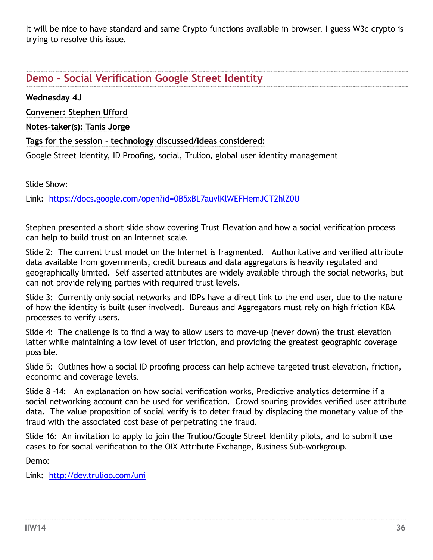<span id="page-35-0"></span>It will be nice to have standard and same Crypto functions available in browser. I guess W3c crypto is trying to resolve this issue.

# **Demo – Social Verification Google Street Identity**

**Wednesday 4J** 

**Convener: Stephen Ufford**

**Notes-taker(s): Tanis Jorge**

## **Tags for the session - technology discussed/ideas considered:**

Google Street Identity, ID Proofing, social, Trulioo, global user identity management

Slide Show:

Link: <https://docs.google.com/open?id=0B5xBL7auvlKlWEFHemJCT2hlZ0U>

Stephen presented a short slide show covering Trust Elevation and how a social verification process can help to build trust on an Internet scale.

Slide 2: The current trust model on the Internet is fragmented. Authoritative and verified attribute data available from governments, credit bureaus and data aggregators is heavily regulated and geographically limited. Self asserted attributes are widely available through the social networks, but can not provide relying parties with required trust levels.

Slide 3: Currently only social networks and IDPs have a direct link to the end user, due to the nature of how the identity is built (user involved). Bureaus and Aggregators must rely on high friction KBA processes to verify users.

Slide 4: The challenge is to find a way to allow users to move-up (never down) the trust elevation latter while maintaining a low level of user friction, and providing the greatest geographic coverage possible.

Slide 5: Outlines how a social ID proofing process can help achieve targeted trust elevation, friction, economic and coverage levels.

Slide 8 -14: An explanation on how social verification works, Predictive analytics determine if a social networking account can be used for verification. Crowd souring provides verified user attribute data. The value proposition of social verify is to deter fraud by displacing the monetary value of the fraud with the associated cost base of perpetrating the fraud.

Slide 16: An invitation to apply to join the Trulioo/Google Street Identity pilots, and to submit use cases to for social verification to the OIX Attribute Exchange, Business Sub-workgroup.

Demo:

Link: <http://dev.trulioo.com/uni>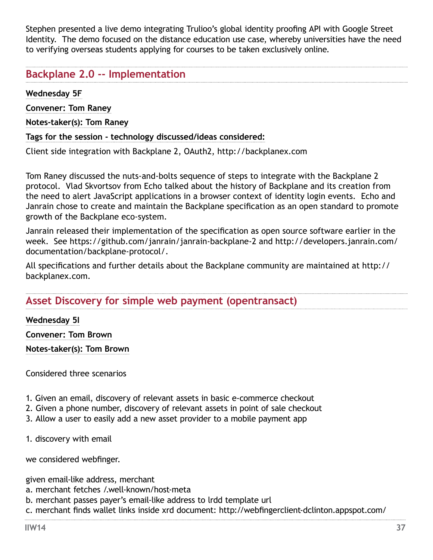<span id="page-36-0"></span>Stephen presented a live demo integrating Trulioo's global identity proofing API with Google Street Identity. The demo focused on the distance education use case, whereby universities have the need to verifying overseas students applying for courses to be taken exclusively online.

# **Backplane 2.0 -- Implementation**

**Wednesday 5F**

**Convener: Tom Raney**

**Notes-taker(s): Tom Raney**

**Tags for the session - technology discussed/ideas considered:** 

Client side integration with Backplane 2, OAuth2, http://backplanex.com

Tom Raney discussed the nuts-and-bolts sequence of steps to integrate with the Backplane 2 protocol. Vlad Skvortsov from Echo talked about the history of Backplane and its creation from the need to alert JavaScript applications in a browser context of identity login events. Echo and Janrain chose to create and maintain the Backplane specification as an open standard to promote growth of the Backplane eco-system.

Janrain released their implementation of the specification as open source software earlier in the week. See <https://github.com/janrain/janrain-backplane-2>and [http://developers.janrain.com/](http://developers.janrain.com/documentation/backplane-protocol/) [documentation/backplane-protocol/.](http://developers.janrain.com/documentation/backplane-protocol/)

All specifications and further details about the Backplane community are maintained at http:// backplanex.com.

# **Asset Discovery for simple web payment (opentransact)**

**Wednesday 5I**

**Convener: Tom Brown**

**Notes-taker(s): Tom Brown**

Considered three scenarios

- 1. Given an email, discovery of relevant assets in basic e-commerce checkout
- 2. Given a phone number, discovery of relevant assets in point of sale checkout
- 3. Allow a user to easily add a new asset provider to a mobile payment app

1. discovery with email

we considered webfinger.

given email-like address, merchant

- a. merchant fetches /.well-known/host-meta
- b. merchant passes payer's email-like address to lrdd template url

c. merchant finds wallet links inside xrd document: [http://webfingerclient-dclinton.appspot.com/](http://webfingerclient-dclinton.appspot.com/lookup?identifier=tbrown@afternoon-waterfall-33.heroku.com&format=web)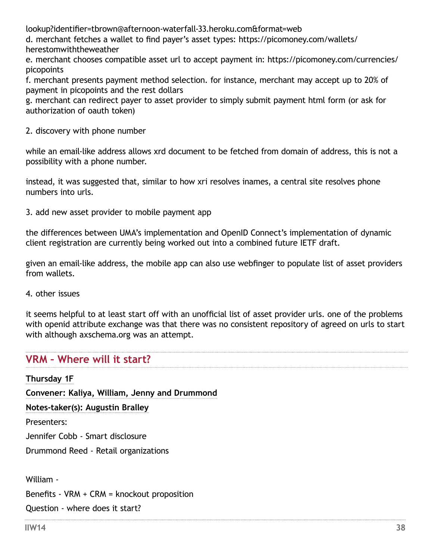[lookup?identifier=tbrown@afternoon-waterfall-33.heroku.com&format=web](http://webfingerclient-dclinton.appspot.com/lookup?identifier=tbrown@afternoon-waterfall-33.heroku.com&format=web)

d. merchant fetches a wallet to find payer's asset types: [https://picomoney.com/wallets/](https://picomoney.com/wallets/herestomwiththeweather) [herestomwiththeweather](https://picomoney.com/wallets/herestomwiththeweather)

e. merchant chooses compatible asset url to accept payment in: [https://picomoney.com/currencies/](https://picomoney.com/currencies/picopoints) [picopoints](https://picomoney.com/currencies/picopoints)

f. merchant presents payment method selection. for instance, merchant may accept up to 20% of payment in picopoints and the rest dollars

g. merchant can redirect payer to asset provider to simply submit payment html form (or ask for authorization of oauth token)

2. discovery with phone number

while an email-like address allows xrd document to be fetched from domain of address, this is not a possibility with a phone number.

instead, it was suggested that, similar to how xri resolves inames, a central site resolves phone numbers into urls.

3. add new asset provider to mobile payment app

the differences between UMA's implementation and OpenID Connect's implementation of dynamic client registration are currently being worked out into a combined future IETF draft.

given an email-like address, the mobile app can also use webfinger to populate list of asset providers from wallets.

4. other issues

it seems helpful to at least start off with an unofficial list of asset provider urls. one of the problems with openid attribute exchange was that there was no consistent repository of agreed on urls to start with although [axschema.org](http://axschema.org) was an attempt.

# **VRM – Where will it start?**

**Thursday 1F Convener: Kaliya, William, Jenny and Drummond Notes-taker(s): Augustin Bralley** Presenters: Jennifer Cobb - Smart disclosure Drummond Reed - Retail organizations William - Benefits - VRM + CRM = knockout proposition Question - where does it start?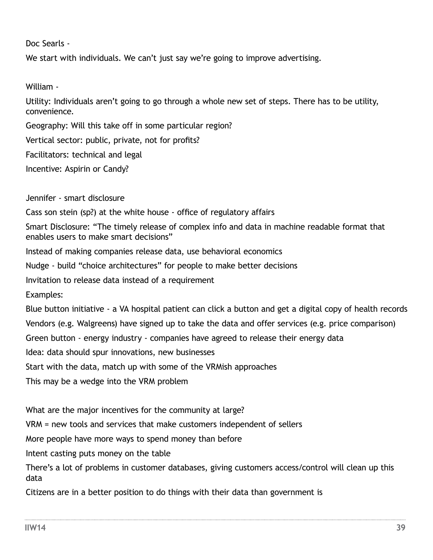Doc Searls -

We start with individuals. We can't just say we're going to improve advertising.

William -

Utility: Individuals aren't going to go through a whole new set of steps. There has to be utility, convenience.

Geography: Will this take off in some particular region? Vertical sector: public, private, not for profits? Facilitators: technical and legal Incentive: Aspirin or Candy?

Jennifer - smart disclosure Cass son stein (sp?) at the white house - office of regulatory affairs Smart Disclosure: "The timely release of complex info and data in machine readable format that enables users to make smart decisions" Instead of making companies release data, use behavioral economics Nudge - build "choice architectures" for people to make better decisions Invitation to release data instead of a requirement Examples: Blue button initiative - a VA hospital patient can click a button and get a digital copy of health records Vendors (e.g. Walgreens) have signed up to take the data and offer services (e.g. price comparison) Green button - energy industry - companies have agreed to release their energy data Idea: data should spur innovations, new businesses Start with the data, match up with some of the VRMish approaches This may be a wedge into the VRM problem

What are the major incentives for the community at large?

VRM = new tools and services that make customers independent of sellers

More people have more ways to spend money than before

Intent casting puts money on the table

There's a lot of problems in customer databases, giving customers access/control will clean up this data

Citizens are in a better position to do things with their data than government is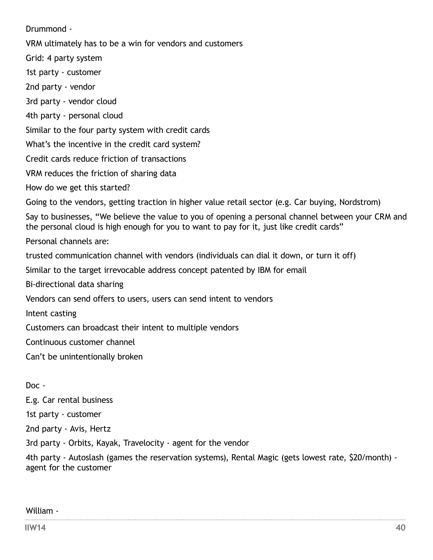Drummond - VRM ultimately has to be a win for vendors and customers Grid: 4 party system 1st party - customer 2nd party - vendor 3rd party - vendor cloud 4th party - personal cloud Similar to the four party system with credit cards What's the incentive in the credit card system? Credit cards reduce friction of transactions VRM reduces the friction of sharing data How do we get this started? Going to the vendors, getting traction in higher value retail sector (e.g. Car buying, Nordstrom) Say to businesses, "We believe the value to you of opening a personal channel between your CRM and the personal cloud is high enough for you to want to pay for it, just like credit cards" Personal channels are: trusted communication channel with vendors (individuals can dial it down, or turn it off) Similar to the target irrevocable address concept patented by IBM for email Bi-directional data sharing Vendors can send offers to users, users can send intent to vendors Intent casting Customers can broadcast their intent to multiple vendors Continuous customer channel Can't be unintentionally broken

## Doc -

E.g. Car rental business 1st party - customer 2nd party - Avis, Hertz 3rd party - Orbits, Kayak, Travelocity - agent for the vendor

4th party - Autoslash (games the reservation systems), Rental Magic (gets lowest rate, \$20/month) agent for the customer

## William -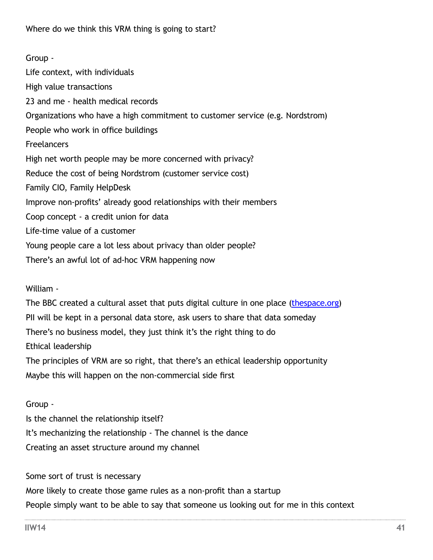<span id="page-40-0"></span>Group - Life context, with individuals High value transactions 23 and me - health medical records Organizations who have a high commitment to customer service (e.g. Nordstrom) People who work in office buildings **Freelancers** High net worth people may be more concerned with privacy? Reduce the cost of being Nordstrom (customer service cost) Family CIO, Family HelpDesk Improve non-profits' already good relationships with their members Coop concept - a credit union for data Life-time value of a customer Young people care a lot less about privacy than older people? There's an awful lot of ad-hoc VRM happening now

William -

The BBC created a cultural asset that puts digital culture in one place [\(thespace.org\)](http://thespace.org) PII will be kept in a personal data store, ask users to share that data someday There's no business model, they just think it's the right thing to do Ethical leadership The principles of VRM are so right, that there's an ethical leadership opportunity Maybe this will happen on the non-commercial side first

Group -

Is the channel the relationship itself? It's mechanizing the relationship - The channel is the dance Creating an asset structure around my channel

Some sort of trust is necessary More likely to create those game rules as a non-profit than a startup People simply want to be able to say that someone us looking out for me in this context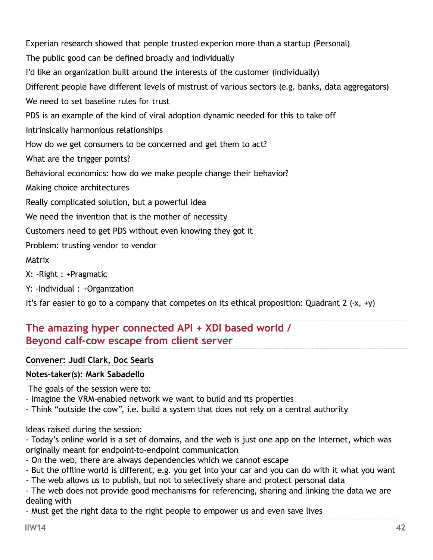<span id="page-41-0"></span>Experian research showed that people trusted experion more than a startup (Personal) The public good can be defined broadly and individually I'd like an organization built around the interests of the customer (individually) Different people have different levels of mistrust of various sectors (e.g. banks, data aggregators) We need to set baseline rules for trust PDS is an example of the kind of viral adoption dynamic needed for this to take off Intrinsically harmonious relationships How do we get consumers to be concerned and get them to act? What are the trigger points? Behavioral economics: how do we make people change their behavior? Making choice architectures Really complicated solution, but a powerful idea We need the invention that is the mother of necessity Customers need to get PDS without even knowing they got it Problem: trusting vendor to vendor Matrix X: -Right : +Pragmatic

Y: -Individual : +Organization

It's far easier to go to a company that competes on its ethical proposition: Quadrant 2  $(-x, +y)$ 

# **The amazing hyper connected API + XDI based world / Beyond calf-cow escape from client server**

**Convener: Judi Clark, Doc Searls**

## **Notes-taker(s): Mark Sabadello**

The goals of the session were to:

- Imagine the VRM-enabled network we want to build and its properties
- Think "outside the cow", i.e. build a system that does not rely on a central authority

Ideas raised during the session:

- Today's online world is a set of domains, and the web is just one app on the Internet, which was originally meant for endpoint-to-endpoint communication

- On the web, there are always dependencies which we cannot escape
- But the offline world is different, e.g. you get into your car and you can do with it what you want
- The web allows us to publish, but not to selectively share and protect personal data

- The web does not provide good mechanisms for referencing, sharing and linking the data we are dealing with

- Must get the right data to the right people to empower us and even save lives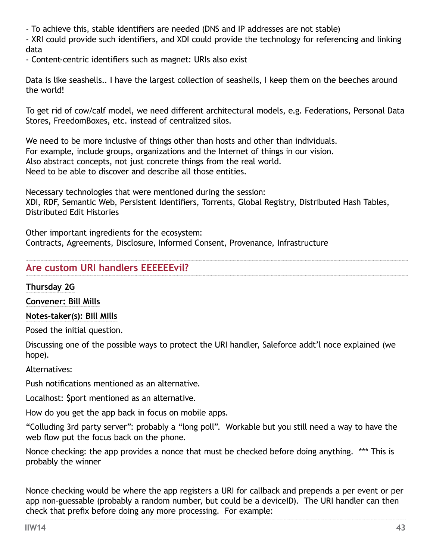<span id="page-42-0"></span>- To achieve this, stable identifiers are needed (DNS and IP addresses are not stable)

- XRI could provide such identifiers, and XDI could provide the technology for referencing and linking data

- Content-centric identifiers such as magnet: URIs also exist

Data is like seashells.. I have the largest collection of seashells, I keep them on the beeches around the world!

To get rid of cow/calf model, we need different architectural models, e.g. Federations, Personal Data Stores, FreedomBoxes, etc. instead of centralized silos.

We need to be more inclusive of things other than hosts and other than individuals. For example, include groups, organizations and the Internet of things in our vision. Also abstract concepts, not just concrete things from the real world. Need to be able to discover and describe all those entities.

Necessary technologies that were mentioned during the session: XDI, RDF, Semantic Web, Persistent Identifiers, Torrents, Global Registry, Distributed Hash Tables, Distributed Edit Histories

Other important ingredients for the ecosystem: Contracts, Agreements, Disclosure, Informed Consent, Provenance, Infrastructure

# **Are custom URI handlers EEEEEEvil?**

**Thursday 2G**

**Convener: Bill Mills**

**Notes-taker(s): Bill Mills**

Posed the initial question.

Discussing one of the possible ways to protect the URI handler, Saleforce addt'l noce explained (we hope).

Alternatives:

Push notifications mentioned as an alternative.

Localhost: \$port mentioned as an alternative.

How do you get the app back in focus on mobile apps.

"Colluding 3rd party server": probably a "long poll". Workable but you still need a way to have the web flow put the focus back on the phone.

Nonce checking: the app provides a nonce that must be checked before doing anything. \*\*\* This is probably the winner

Nonce checking would be where the app registers a URI for callback and prepends a per event or per app non-guessable (probably a random number, but could be a deviceID). The URI handler can then check that prefix before doing any more processing. For example: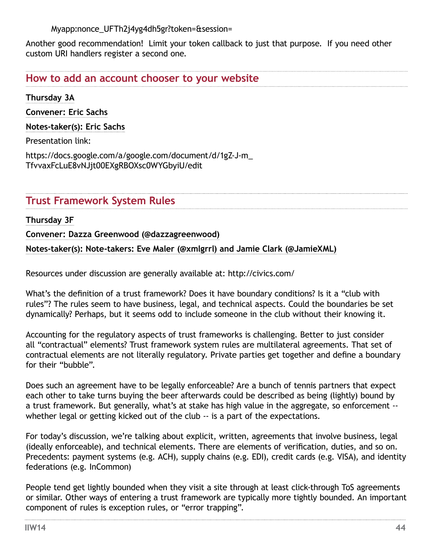Myapp:nonce\_UFTh2j4yg4dh5gr?token=&session=

Another good recommendation! Limit your token callback to just that purpose. If you need other custom URI handlers register a second one.

**How to add an account chooser to your website**

**Thursday 3A** 

**Convener: Eric Sachs**

**Notes-taker(s): Eric Sachs**

Presentation link:

[https://docs.google.com/a/google.com/document/d/1gZ-J-m\\_](https://docs.google.com/a/google.com/document/d/1gZ-J-m_TfvvaxFcLuE8vNJjt00EXgRBOXsc0WYGbyiU/edit) [TfvvaxFcLuE8vNJjt00EXgRBOXsc0WYGbyiU/edit](https://docs.google.com/a/google.com/document/d/1gZ-J-m_TfvvaxFcLuE8vNJjt00EXgRBOXsc0WYGbyiU/edit)

**Trust Framework System Rules**

**Thursday 3F**

**Convener: Dazza Greenwood (@dazzagreenwood)**

**Notes-taker(s): Note-takers: Eve Maler (@xmlgrrl) and Jamie Clark (@JamieXML)**

Resources under discussion are generally available at: <http://civics.com/>

What's the definition of a trust framework? Does it have boundary conditions? Is it a "club with rules"? The rules seem to have business, legal, and technical aspects. Could the boundaries be set dynamically? Perhaps, but it seems odd to include someone in the club without their knowing it.

Accounting for the regulatory aspects of trust frameworks is challenging. Better to just consider all "contractual" elements? Trust framework system rules are multilateral agreements. That set of contractual elements are not literally regulatory. Private parties get together and define a boundary for their "bubble".

Does such an agreement have to be legally enforceable? Are a bunch of tennis partners that expect each other to take turns buying the beer afterwards could be described as being (lightly) bound by a trust framework. But generally, what's at stake has high value in the aggregate, so enforcement - whether legal or getting kicked out of the club -- is a part of the expectations.

For today's discussion, we're talking about explicit, written, agreements that involve business, legal (ideally enforceable), and technical elements. There are elements of verification, duties, and so on. Precedents: payment systems (e.g. ACH), supply chains (e.g. EDI), credit cards (e.g. VISA), and identity federations (e.g. InCommon)

People tend get lightly bounded when they visit a site through at least click-through ToS agreements or similar. Other ways of entering a trust framework are typically more tightly bounded. An important component of rules is exception rules, or "error trapping".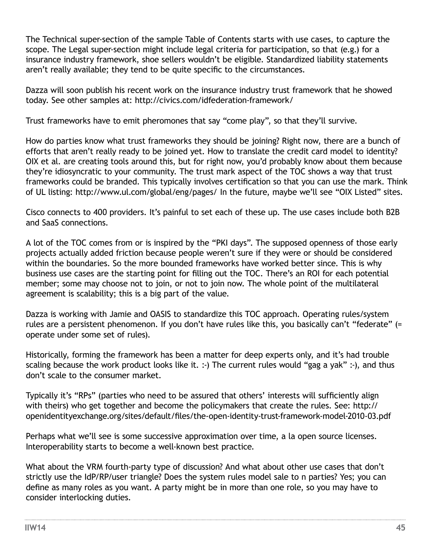<span id="page-44-0"></span>The Technical super-section of the sample Table of Contents starts with use cases, to capture the scope. The Legal super-section might include legal criteria for participation, so that (e.g.) for a insurance industry framework, shoe sellers wouldn't be eligible. Standardized liability statements aren't really available; they tend to be quite specific to the circumstances.

Dazza will soon publish his recent work on the insurance industry trust framework that he showed today. See other samples at: <http://civics.com/idfederation-framework/>

Trust frameworks have to emit pheromones that say "come play", so that they'll survive.

How do parties know what trust frameworks they should be joining? Right now, there are a bunch of efforts that aren't really ready to be joined yet. How to translate the credit card model to identity? OIX et al. are creating tools around this, but for right now, you'd probably know about them because they're idiosyncratic to your community. The trust mark aspect of the TOC shows a way that trust frameworks could be branded. This typically involves certification so that you can use the mark. Think of UL listing: <http://www.ul.com/global/eng/pages/>In the future, maybe we'll see "OIX Listed" sites.

Cisco connects to 400 providers. It's painful to set each of these up. The use cases include both B2B and SaaS connections.

A lot of the TOC comes from or is inspired by the "PKI days". The supposed openness of those early projects actually added friction because people weren't sure if they were or should be considered within the boundaries. So the more bounded frameworks have worked better since. This is why business use cases are the starting point for filling out the TOC. There's an ROI for each potential member; some may choose not to join, or not to join now. The whole point of the multilateral agreement is scalability; this is a big part of the value.

Dazza is working with Jamie and OASIS to standardize this TOC approach. Operating rules/system rules are a persistent phenomenon. If you don't have rules like this, you basically can't "federate" (= operate under some set of rules).

Historically, forming the framework has been a matter for deep experts only, and it's had trouble scaling because the work product looks like it. :-) The current rules would "gag a yak" :-), and thus don't scale to the consumer market.

Typically it's "RPs" (parties who need to be assured that others' interests will sufficiently align with theirs) who get together and become the policymakers that create the rules. See: [http://](http://openidentityexchange.org/sites/default/files/the-open-identity-trust-framework-model-2010-03.pdf) [openidentityexchange.org/sites/default/files/the-open-identity-trust-framework-model-2010-03.pdf](http://openidentityexchange.org/sites/default/files/the-open-identity-trust-framework-model-2010-03.pdf)

Perhaps what we'll see is some successive approximation over time, a la open source licenses. Interoperability starts to become a well-known best practice.

What about the VRM fourth-party type of discussion? And what about other use cases that don't strictly use the IdP/RP/user triangle? Does the system rules model sale to n parties? Yes; you can define as many roles as you want. A party might be in more than one role, so you may have to consider interlocking duties.